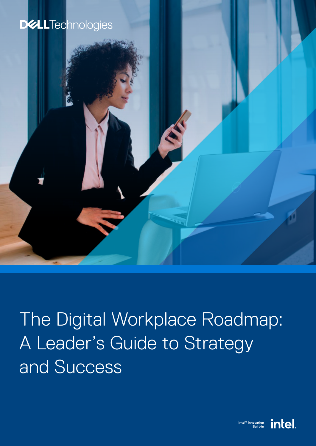

The Digital Workplace Roadmap: A Leader's Guide to Strategy and Success

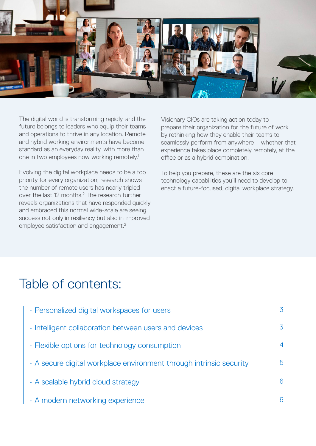

The digital world is transforming rapidly, and the future belongs to leaders who equip their teams and operations to thrive in any location. Remote and hybrid working environments have become standard as an everyday reality, with more than one in two employees now working remotely.1

Evolving the digital workplace needs to be a top priority for every organization; research shows the number of remote users has nearly tripled over the last 12 months.<sup>2</sup> The research further reveals organizations that have responded quickly and embraced this normal wide-scale are seeing success not only in resiliency but also in improved employee satisfaction and engagement.<sup>2</sup>

Visionary CIOs are taking action today to prepare their organization for the future of work by rethinking how they enable their teams to seamlessly perform from anywhere—whether that experience takes place completely remotely, at the office or as a hybrid combination.

To help you prepare, these are the six core technology capabilities you'll need to develop to enact a future-focused, digital workplace strategy.

## Table of contents:

| · Personalized digital workspaces for users                         | 3 |
|---------------------------------------------------------------------|---|
| · Intelligent collaboration between users and devices               | 3 |
| • Flexible options for technology consumption                       | 4 |
| • A secure digital workplace environment through intrinsic security | 5 |
| · A scalable hybrid cloud strategy                                  | 6 |
| · A modern networking experience                                    | 6 |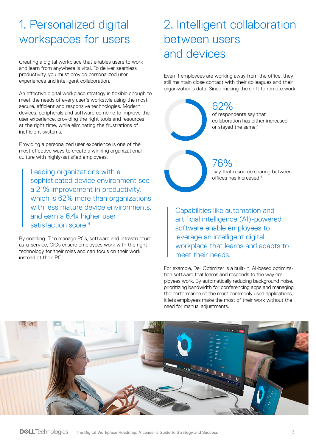#### <span id="page-2-0"></span>1. Personalized digital workspaces for users

Creating a digital workplace that enables users to work and learn from anywhere is vital. To deliver seamless productivity, you must provide personalized user experiences and intelligent collaboration.

An effective digital workplace strategy is flexible enough to meet the needs of every user's workstyle using the most secure, efficient and responsive technologies. Modern devices, peripherals and software combine to improve the user experience, providing the right tools and resources at the right time, while eliminating the frustrations of inefficient systems.

Providing a personalized user experience is one of the most effective ways to create a winning organizational culture with highly-satisfied employees.

Leading organizations with a sophisticated device environment see a 21% improvement in productivity, which is 62% more than organizations with less mature device environments. and earn a 6.4x higher user satisfaction score<sup>3</sup>

By enabling IT to manage PCs, software and infrastructure as-a-service, CIOs ensure employees work with the right technology for their roles and can focus on their work instead of their PC.

### 2. Intelligent collaboration between users and devices

Even if employees are working away from the office, they still maintain close contact with their colleagues and their organization's data. Since making the shift to remote work:

> 62% of respondents say that collaboration has either increased or stayed the same;<sup>4</sup>

76% say that resource sharing between offices has increased.4

Capabilities like automation and artificial intelligence (AI)-powered software enable employees to leverage an intelligent digital workplace that learns and adapts to meet their needs.

For example, Dell Optimizer is a built-in, AI-based optimization software that learns and responds to the way employees work. By automatically reducing background noise, prioritizing bandwidth for conferencing apps and managing the performance of the most commonly used applications, it lets employees make the most of their work without the need for manual adjustments.

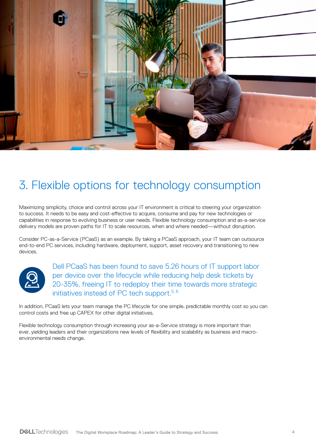<span id="page-3-0"></span>

#### 3. Flexible options for technology consumption

Maximizing simplicity, choice and control across your IT environment is critical to steering your organization to success. It needs to be easy and cost-effective to acquire, consume and pay for new technologies or capabilities in response to evolving business or user needs. Flexible technology consumption and as-a-service delivery models are proven paths for IT to scale resources, when and where needed—without disruption.

Consider PC-as-a-Service (PCaaS) as an example. By taking a PCaaS approach, your IT team can outsource end-to-end PC services, including hardware, deployment, support, asset recovery and transitioning to new devices.



Dell PCaaS has been found to save 5.26 hours of IT support labor per device over the lifecycle while reducing help desk tickets by 20-35%, freeing IT to redeploy their time towards more strategic initiatives instead of PC tech support.<sup>5, 6</sup>

In addition, PCaaS lets your team manage the PC lifecycle for one simple, predictable monthly cost so you can control costs and free up CAPEX for other digital initiatives.

Flexible technology consumption through increasing your as-a-Service strategy is more important than ever, yielding leaders and their organizations new levels of flexibility and scalability as business and macroenvironmental needs change.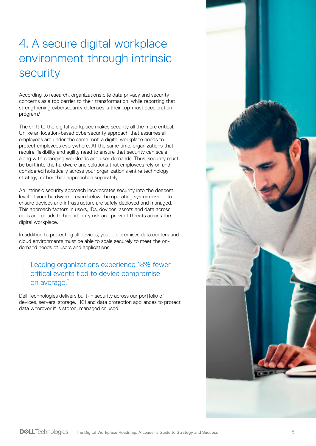# <span id="page-4-0"></span>4. A secure digital workplace environment through intrinsic security

According to research, organizations cite data privacy and security concerns as a top barrier to their transformation, while reporting that strengthening cybersecurity defenses is their top-most acceleration program.1

The shift to the digital workplace makes security all the more critical. Unlike an location-based cybersecurity approach that assumes all employees are under the same roof, a digital workplace needs to protect employees everywhere. At the same time, organizations that require flexibility and agility need to ensure that security can scale along with changing workloads and user demands. Thus, security must be built into the hardware and solutions that employees rely on and considered holistically across your organization's entire technology strategy, rather than approached separately.

An intrinsic security approach incorporates security into the deepest level of your hardware—even below the operating system level—to ensure devices and infrastructure are safely deployed and managed. This approach factors in users, IDs, devices, assets and data across apps and clouds to help identify risk and prevent threats across the digital workplace.

In addition to protecting all devices, your on-premises data centers and cloud environments must be able to scale securely to meet the ondemand needs of users and applications.

Leading organizations experience 18% fewer critical events tied to device compromise on average.<sup>2</sup>

Dell Technologies delivers built-in security across our portfolio of devices, servers, storage, HCI and data protection appliances to protect data wherever it is stored, managed or used.

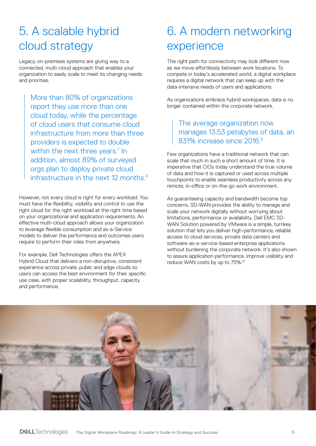## <span id="page-5-0"></span>5. A scalable hybrid cloud strategy

Legacy, on-premises systems are giving way to a connected, multi-cloud approach that enables your organization to easily scale to meet its changing needs and priorities.

More than 80% of organizations report they use more than one cloud today, while the percentage of cloud users that consume cloud infrastructure from more than three providers is expected to double within the next three years.<sup>7</sup> In addition, almost 89% of surveyed orgs plan to deploy private cloud infrastructure in the next 12 months. $8$ 

However, not every cloud is right for every workload. You must have the flexibility, visibility and control to use the right cloud for the right workload at the right time based on your organizational and application requirements. An effective multi-cloud approach allows your organization to leverage flexible consumption and as-a-Service models to deliver the performance and outcomes users require to perform their roles from anywhere.

For example, Dell Technologies offers the APEX Hybrid Cloud that delivers a non-disruptive, consistent experience across private, public and edge clouds so users can access the best environment for their specific use case, with proper scalability, throughput, capacity and performance.

## 6. A modern networking experience

The right path for connectivity may look different now as we move effortlessly between work locations. To compete in today's accelerated world, a digital workplace requires a digital network that can keep up with the data-intensive needs of users and applications.

As organizations embrace hybrid workspaces, data is no longer contained within the corporate network.

#### The average organization now manages 13.53 petabytes of data, an 831% increase since 2016.9

Few organizations have a traditional network that can scale that much in such a short amount of time. It is imperative that CIOs today understand the true volume of data and how it is captured or used across multiple touchpoints to enable seamless productivity across any remote, in-office or on-the-go work environment.

As guaranteeing capacity and bandwidth become top concerns, SD-WAN provides the ability to manage and scale your network digitally without worrying about limitations, performance or availability. Dell EMC SD-WAN Solution powered by VMware is a simple, turnkey solution that lets you deliver high-performance, reliable access to cloud services, private data centers and software-as-a-service-based enterprise applications without burdening the corporate network. It's also shown to assure application performance, improve visibility and reduce WAN costs by up to 75%.10